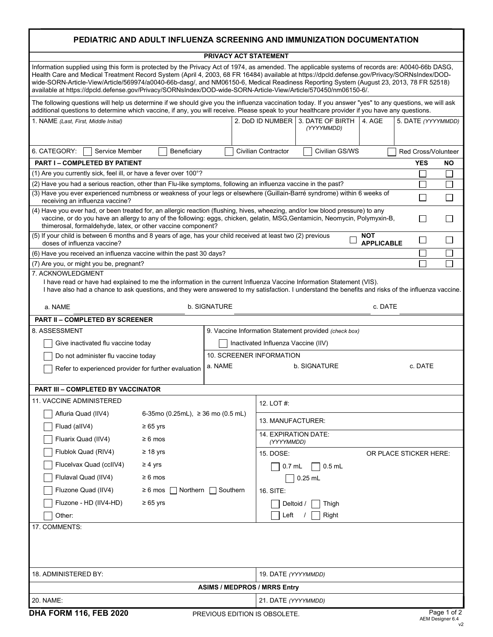| PEDIATRIC AND ADULT INFLUENZA SCREENING AND IMMUNIZATION DOCUMENTATION                                                                                                                                                                                                                                                                                                                                                                                                                                                                                        |                                                                              |
|---------------------------------------------------------------------------------------------------------------------------------------------------------------------------------------------------------------------------------------------------------------------------------------------------------------------------------------------------------------------------------------------------------------------------------------------------------------------------------------------------------------------------------------------------------------|------------------------------------------------------------------------------|
| PRIVACY ACT STATEMENT                                                                                                                                                                                                                                                                                                                                                                                                                                                                                                                                         |                                                                              |
| Information supplied using this form is protected by the Privacy Act of 1974, as amended. The applicable systems of records are: A0040-66b DASG,<br>Health Care and Medical Treatment Record System (April 4, 2003, 68 FR 16484) available at https://dpcld.defense.gov/Privacy/SORNsIndex/DOD-<br>wide-SORN-Article-View/Article/569974/a0040-66b-dasg/, and NM06150-6, Medical Readiness Reporting System (August 23, 2013, 78 FR 52518)<br>available at https://dpcld.defense.gov/Privacy/SORNsIndex/DOD-wide-SORN-Article-View/Article/570450/nm06150-6/. |                                                                              |
| The following questions will help us determine if we should give you the influenza vaccination today. If you answer "yes" to any questions, we will ask<br>additional questions to determine which vaccine, if any, you will receive. Please speak to your healthcare provider if you have any questions.                                                                                                                                                                                                                                                     |                                                                              |
| 1. NAME (Last, First, Middle Initial)                                                                                                                                                                                                                                                                                                                                                                                                                                                                                                                         | 2. DoD ID NUMBER 3. DATE OF BIRTH 4. AGE<br>5. DATE (YYYYMMDD)<br>(YYYYMMDD) |
| 6. CATEGORY:<br>Service Member<br>Beneficiary                                                                                                                                                                                                                                                                                                                                                                                                                                                                                                                 | <b>Civilian Contractor</b><br>Civilian GS/WS<br>Red Cross/Volunteer          |
| <b>PART I - COMPLETED BY PATIENT</b><br><b>YES</b><br>NO.                                                                                                                                                                                                                                                                                                                                                                                                                                                                                                     |                                                                              |
| (1) Are you currently sick, feel ill, or have a fever over 100°?                                                                                                                                                                                                                                                                                                                                                                                                                                                                                              |                                                                              |
| (2) Have you had a serious reaction, other than Flu-like symptoms, following an influenza vaccine in the past?                                                                                                                                                                                                                                                                                                                                                                                                                                                |                                                                              |
| (3) Have you ever experienced numbness or weakness of your legs or elsewhere (Guillain-Barré syndrome) within 6 weeks of<br>receiving an influenza vaccine?                                                                                                                                                                                                                                                                                                                                                                                                   | $\sim$<br>$\mathsf{L}$                                                       |
| (4) Have you ever had, or been treated for, an allergic reaction (flushing, hives, wheezing, and/or low blood pressure) to any<br>vaccine, or do you have an allergy to any of the following: eggs, chicken, gelatin, MSG, Gentamicin, Neomycin, Polymyxin-B,<br>$\mathbf{I}$<br>thimerosal, formaldehyde, latex, or other vaccine component?                                                                                                                                                                                                                 |                                                                              |
| (5) If your child is between 6 months and 8 years of age, has your child received at least two (2) previous<br>doses of influenza vaccine?                                                                                                                                                                                                                                                                                                                                                                                                                    | <b>NOT</b><br>$\overline{\phantom{0}}$<br><b>APPLICABLE</b>                  |
| (6) Have you received an influenza vaccine within the past 30 days?                                                                                                                                                                                                                                                                                                                                                                                                                                                                                           | $\overline{\phantom{a}}$                                                     |
| (7) Are you, or might you be, pregnant?                                                                                                                                                                                                                                                                                                                                                                                                                                                                                                                       |                                                                              |
| 7. ACKNOWLEDGMENT                                                                                                                                                                                                                                                                                                                                                                                                                                                                                                                                             |                                                                              |
| I have read or have had explained to me the information in the current Influenza Vaccine Information Statement (VIS).<br>I have also had a chance to ask questions, and they were answered to my satisfaction. I understand the benefits and risks of the influenza vaccine.<br>b. SIGNATURE<br>c. DATE<br>a. NAME                                                                                                                                                                                                                                            |                                                                              |
|                                                                                                                                                                                                                                                                                                                                                                                                                                                                                                                                                               |                                                                              |
| <b>PART II - COMPLETED BY SCREENER</b>                                                                                                                                                                                                                                                                                                                                                                                                                                                                                                                        |                                                                              |
| 8. ASSESSMENT                                                                                                                                                                                                                                                                                                                                                                                                                                                                                                                                                 | 9. Vaccine Information Statement provided (check box)                        |
| Give inactivated flu vaccine today                                                                                                                                                                                                                                                                                                                                                                                                                                                                                                                            | Inactivated Influenza Vaccine (IIV)                                          |
| Do not administer flu vaccine today                                                                                                                                                                                                                                                                                                                                                                                                                                                                                                                           | 10. SCREENER INFORMATION                                                     |
| a. NAME<br>Refer to experienced provider for further evaluation                                                                                                                                                                                                                                                                                                                                                                                                                                                                                               | <b>b. SIGNATURE</b><br>c. DATE                                               |
| PART III - COMPLETED BY VACCINATOR                                                                                                                                                                                                                                                                                                                                                                                                                                                                                                                            |                                                                              |
| 11. VACCINE ADMINISTERED                                                                                                                                                                                                                                                                                                                                                                                                                                                                                                                                      | 12. LOT #:                                                                   |
| Afluria Quad (IIV4)<br>6-35 mo (0.25 mL), $\geq$ 36 mo (0.5 mL)                                                                                                                                                                                                                                                                                                                                                                                                                                                                                               | 13. MANUFACTURER:                                                            |
| Fluad (allV4)<br>$≥ 65 \text{ yrs}$<br>Fluarix Quad (IIV4)<br>$\geq 6$ mos                                                                                                                                                                                                                                                                                                                                                                                                                                                                                    | 14. EXPIRATION DATE:<br>(YYYYMMDD)                                           |
| Flublok Quad (RIV4)<br>$\geq 18$ yrs                                                                                                                                                                                                                                                                                                                                                                                                                                                                                                                          |                                                                              |
| Flucelvax Quad (cclIV4)<br>$\geq 4$ yrs                                                                                                                                                                                                                                                                                                                                                                                                                                                                                                                       | 15. DOSE:<br>OR PLACE STICKER HERE:                                          |
|                                                                                                                                                                                                                                                                                                                                                                                                                                                                                                                                                               | $0.5$ mL<br>$0.7$ mL                                                         |
| Flulaval Quad (IIV4)<br>$\geq 6$ mos                                                                                                                                                                                                                                                                                                                                                                                                                                                                                                                          | $0.25$ mL                                                                    |
| Fluzone Quad (IIV4)<br>$\geq 6$ mos<br>$\sqcap$ Northern $\sqcap$<br>Southern                                                                                                                                                                                                                                                                                                                                                                                                                                                                                 | 16. SITE:                                                                    |
| Fluzone - HD (IIV4-HD)<br>$\geq 65$ yrs                                                                                                                                                                                                                                                                                                                                                                                                                                                                                                                       | Deltoid /<br>Thigh                                                           |
| Other:                                                                                                                                                                                                                                                                                                                                                                                                                                                                                                                                                        | Left<br>Right                                                                |
| 17. COMMENTS:                                                                                                                                                                                                                                                                                                                                                                                                                                                                                                                                                 |                                                                              |
|                                                                                                                                                                                                                                                                                                                                                                                                                                                                                                                                                               |                                                                              |
| 18. ADMINISTERED BY:                                                                                                                                                                                                                                                                                                                                                                                                                                                                                                                                          | 19. DATE (YYYYMMDD)                                                          |
| <b>ASIMS / MEDPROS / MRRS Entry</b>                                                                                                                                                                                                                                                                                                                                                                                                                                                                                                                           |                                                                              |
| 20. NAME:<br>21. DATE (YYYYMMDD)                                                                                                                                                                                                                                                                                                                                                                                                                                                                                                                              |                                                                              |
|                                                                                                                                                                                                                                                                                                                                                                                                                                                                                                                                                               |                                                                              |
| <b>DHA FORM 116, FEB 2020</b><br>Page 1 of 2<br>PREVIOUS EDITION IS OBSOLETE.<br>AEM Designer 6.4                                                                                                                                                                                                                                                                                                                                                                                                                                                             |                                                                              |